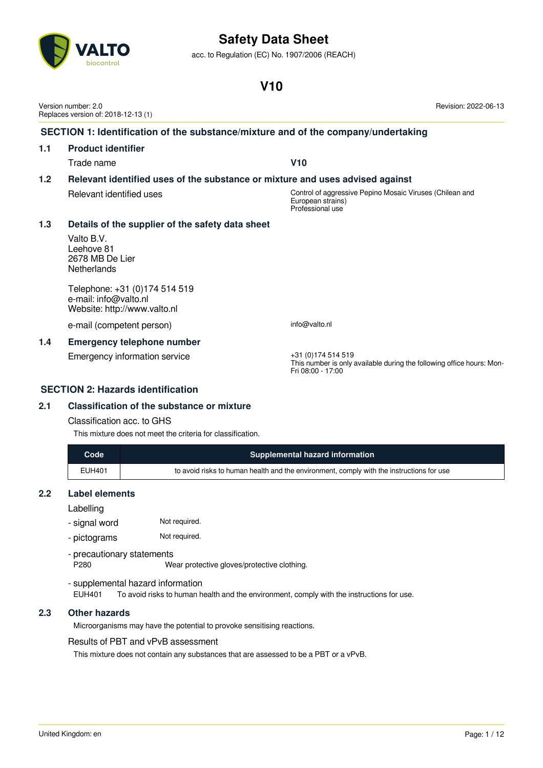### **V10**

| United Kingdom: en | ane <sup>r</sup> |
|--------------------|------------------|
|                    | - -              |

# acc. to Regulation (EC) No. 1907/2006 (REACH)

|     | Version number: 2.0<br>Replaces version of: 2018-12-13 (1)                             | Revision: 2022-06-13                                                                                              |  |
|-----|----------------------------------------------------------------------------------------|-------------------------------------------------------------------------------------------------------------------|--|
|     | SECTION 1: Identification of the substance/mixture and of the company/undertaking      |                                                                                                                   |  |
| 1.1 | <b>Product identifier</b>                                                              |                                                                                                                   |  |
|     | Trade name                                                                             | V10                                                                                                               |  |
| 1.2 | Relevant identified uses of the substance or mixture and uses advised against          |                                                                                                                   |  |
|     | Relevant identified uses                                                               | Control of aggressive Pepino Mosaic Viruses (Chilean and<br>European strains)<br>Professional use                 |  |
| 1.3 | Details of the supplier of the safety data sheet                                       |                                                                                                                   |  |
|     | Valto B.V.<br>Leehove 81<br>2678 MB De Lier<br><b>Netherlands</b>                      |                                                                                                                   |  |
|     | Telephone: +31 (0)174 514 519<br>e-mail: info@valto.nl<br>Website: http://www.valto.nl |                                                                                                                   |  |
|     | e-mail (competent person)                                                              | info@valto.nl                                                                                                     |  |
| 1.4 | <b>Emergency telephone number</b>                                                      |                                                                                                                   |  |
|     | Emergency information service                                                          | +31 (0) 174 514 519<br>This number is only available during the following office hours: Mon-<br>Fri 08:00 - 17:00 |  |
|     | <b>SECTION 2: Hazards identification</b>                                               |                                                                                                                   |  |

#### **2.1 Classification of the substance or mixture**

#### Classification acc. to GHS

This mixture does not meet the criteria for classification.

| Code          | <b>Supplemental hazard information</b>                                                   |
|---------------|------------------------------------------------------------------------------------------|
| <b>EUH401</b> | to avoid risks to human health and the environment, comply with the instructions for use |

#### **2.2 Label elements**

Labelling

- signal word Not required.
- pictograms Not required.

- precautionary statements

P280 Wear protective gloves/protective clothing.

- supplemental hazard information

EUH401 To avoid risks to human health and the environment, comply with the instructions for use.

#### **2.3 Other hazards**

Microorganisms may have the potential to provoke sensitising reactions.

#### Results of PBT and vPvB assessment

This mixture does not contain any substances that are assessed to be a PBT or a vPvB.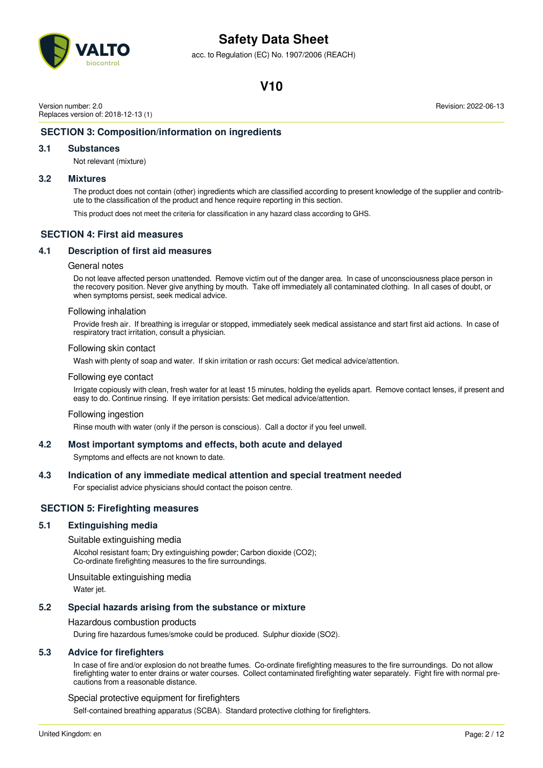

acc. to Regulation (EC) No. 1907/2006 (REACH)

### **V10**

Version number: 2.0 Replaces version of: 2018-12-13 (1) Revision: 2022-06-13

#### **SECTION 3: Composition/information on ingredients**

#### **3.1 Substances**

Not relevant (mixture)

#### **3.2 Mixtures**

The product does not contain (other) ingredients which are classified according to present knowledge of the supplier and contribute to the classification of the product and hence require reporting in this section.

This product does not meet the criteria for classification in any hazard class according to GHS.

#### **SECTION 4: First aid measures**

#### **4.1 Description of first aid measures**

#### General notes

Do not leave affected person unattended. Remove victim out of the danger area. In case of unconsciousness place person in the recovery position. Never give anything by mouth. Take off immediately all contaminated clothing. In all cases of doubt, or when symptoms persist, seek medical advice.

#### Following inhalation

Provide fresh air. If breathing is irregular or stopped, immediately seek medical assistance and start first aid actions. In case of respiratory tract irritation, consult a physician.

#### Following skin contact

Wash with plenty of soap and water. If skin irritation or rash occurs: Get medical advice/attention.

#### Following eye contact

Irrigate copiously with clean, fresh water for at least 15 minutes, holding the eyelids apart. Remove contact lenses, if present and easy to do. Continue rinsing. If eye irritation persists: Get medical advice/attention.

#### Following ingestion

Rinse mouth with water (only if the person is conscious). Call a doctor if you feel unwell.

#### **4.2 Most important symptoms and effects, both acute and delayed**

Symptoms and effects are not known to date.

#### **4.3 Indication of any immediate medical attention and special treatment needed**

For specialist advice physicians should contact the poison centre.

#### **SECTION 5: Firefighting measures**

#### **5.1 Extinguishing media**

#### Suitable extinguishing media

Alcohol resistant foam; Dry extinguishing powder; Carbon dioxide (CO2); Co-ordinate firefighting measures to the fire surroundings.

Unsuitable extinguishing media

Water jet.

#### **5.2 Special hazards arising from the substance or mixture**

#### Hazardous combustion products

During fire hazardous fumes/smoke could be produced. Sulphur dioxide (SO2).

#### **5.3 Advice for firefighters**

In case of fire and/or explosion do not breathe fumes. Co-ordinate firefighting measures to the fire surroundings. Do not allow firefighting water to enter drains or water courses. Collect contaminated firefighting water separately. Fight fire with normal precautions from a reasonable distance.

#### Special protective equipment for firefighters

Self-contained breathing apparatus (SCBA). Standard protective clothing for firefighters.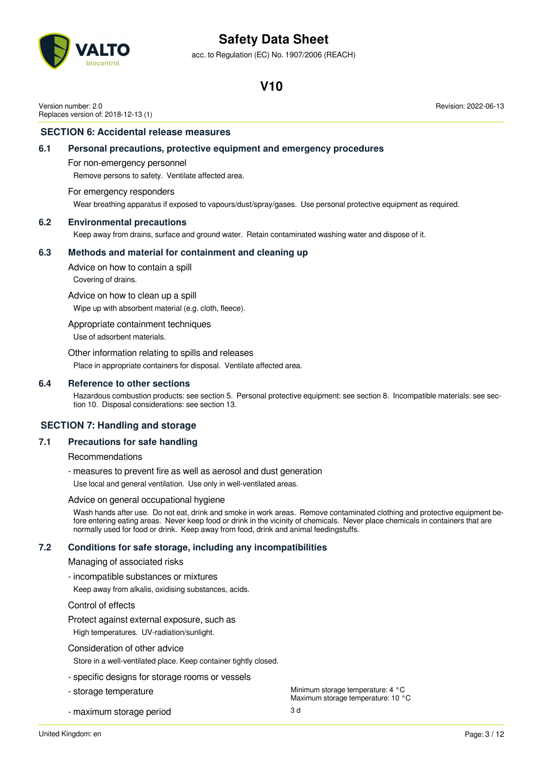acc. to Regulation (EC) No. 1907/2006 (REACH)

### **V10**

Version number: 2.0 Replaces version of: 2018-12-13 (1) Revision: 2022-06-13

#### **SECTION 6: Accidental release measures**

#### **6.1 Personal precautions, protective equipment and emergency procedures**

For non-emergency personnel

Remove persons to safety. Ventilate affected area.

#### For emergency responders

Wear breathing apparatus if exposed to vapours/dust/spray/gases. Use personal protective equipment as required.

#### **6.2 Environmental precautions**

Keep away from drains, surface and ground water. Retain contaminated washing water and dispose of it.

#### **6.3 Methods and material for containment and cleaning up**

Advice on how to contain a spill

Covering of drains.

Advice on how to clean up a spill

Wipe up with absorbent material (e.g. cloth, fleece).

Appropriate containment techniques

Use of adsorbent materials.

Other information relating to spills and releases

Place in appropriate containers for disposal. Ventilate affected area.

#### **6.4 Reference to other sections**

Hazardous combustion products: see section 5. Personal protective equipment: see section 8. Incompatible materials: see section 10. Disposal considerations: see section 13.

#### **SECTION 7: Handling and storage**

#### **7.1 Precautions for safe handling**

Recommendations

- measures to prevent fire as well as aerosol and dust generation

Use local and general ventilation. Use only in well-ventilated areas.

#### Advice on general occupational hygiene

Wash hands after use. Do not eat, drink and smoke in work areas. Remove contaminated clothing and protective equipment before entering eating areas. Never keep food or drink in the vicinity of chemicals. Never place chemicals in containers that are normally used for food or drink. Keep away from food, drink and animal feedingstuffs.

#### **7.2 Conditions for safe storage, including any incompatibilities**

#### Managing of associated risks

#### - incompatible substances or mixtures

Keep away from alkalis, oxidising substances, acids.

#### Control of effects

Protect against external exposure, such as

High temperatures. UV-radiation/sunlight.

#### Consideration of other advice

Store in a well-ventilated place. Keep container tightly closed.

- specific designs for storage rooms or vessels
- 
- maximum storage period 3 d
- storage temperature Minimum storage temperature: 4 °C Maximum storage temperature: 10 °C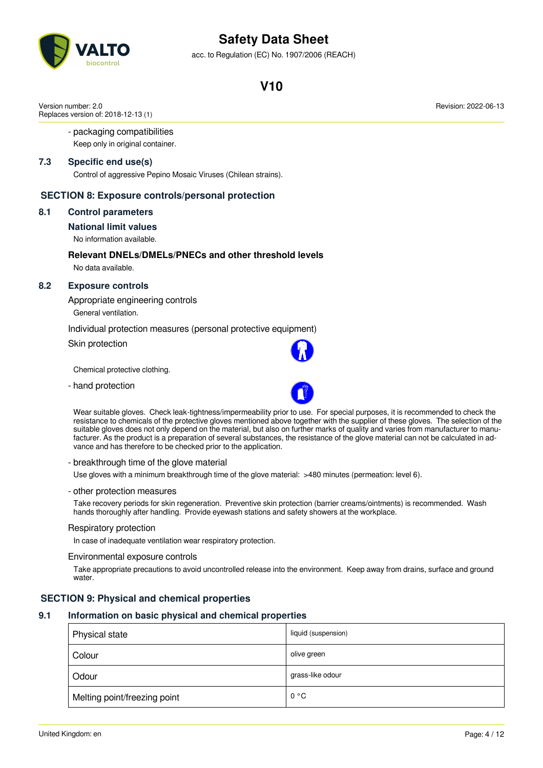acc. to Regulation (EC) No. 1907/2006 (REACH)

### **V10**

Version number: 2.0 Replaces version of: 2018-12-13 (1)

#### - packaging compatibilities

Keep only in original container.

#### **7.3 Specific end use(s)**

Control of aggressive Pepino Mosaic Viruses (Chilean strains).

#### **SECTION 8: Exposure controls/personal protection**

#### **8.1 Control parameters**

#### **National limit values**

No information available.

#### **Relevant DNELs/DMELs/PNECs and other threshold levels** No data available.

#### **8.2 Exposure controls**

Appropriate engineering controls General ventilation.

Individual protection measures (personal protective equipment)

Skin protection

Chemical protective clothing.

- hand protection



Wear suitable gloves. Check leak-tightness/impermeability prior to use. For special purposes, it is recommended to check the resistance to chemicals of the protective gloves mentioned above together with the supplier of these gloves. The selection of the suitable gloves does not only depend on the material, but also on further marks of quality and varies from manufacturer to manufacturer. As the product is a preparation of several substances, the resistance of the glove material can not be calculated in advance and has therefore to be checked prior to the application.

#### - breakthrough time of the glove material

Use gloves with a minimum breakthrough time of the glove material: >480 minutes (permeation: level 6).

#### - other protection measures

Take recovery periods for skin regeneration. Preventive skin protection (barrier creams/ointments) is recommended. Wash hands thoroughly after handling. Provide eyewash stations and safety showers at the workplace.

#### Respiratory protection

In case of inadequate ventilation wear respiratory protection.

Environmental exposure controls

Take appropriate precautions to avoid uncontrolled release into the environment. Keep away from drains, surface and ground water.

#### **SECTION 9: Physical and chemical properties**

### **9.1 Information on basic physical and chemical properties**

| Physical state               | liquid (suspension) |
|------------------------------|---------------------|
| Colour                       | olive green         |
| Odour                        | grass-like odour    |
| Melting point/freezing point | 0 °C                |

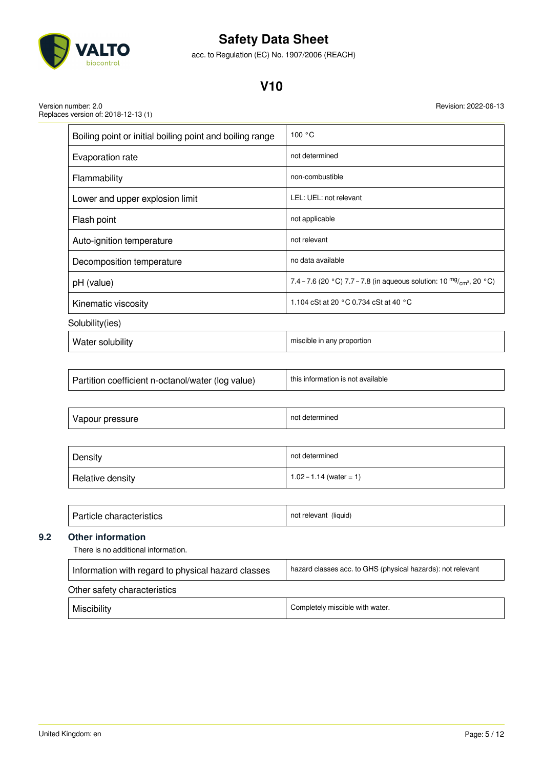

acc. to Regulation (EC) No. 1907/2006 (REACH)

### **V10**

Version number: 2.0 Replaces version of: 2018-12-13 (1)

| Boiling point or initial boiling point and boiling range | 100 °C                                                                          |
|----------------------------------------------------------|---------------------------------------------------------------------------------|
| Evaporation rate                                         | not determined                                                                  |
| Flammability                                             | non-combustible                                                                 |
| Lower and upper explosion limit                          | LEL: UEL: not relevant                                                          |
| Flash point                                              | not applicable                                                                  |
| Auto-ignition temperature                                | not relevant                                                                    |
| Decomposition temperature                                | no data available                                                               |
| pH (value)                                               | 7.4 – 7.6 (20 °C) 7.7 – 7.8 (in aqueous solution: 10 $\frac{mg}{cm^3}$ , 20 °C) |
| Kinematic viscosity                                      | 1.104 cSt at 20 °C 0.734 cSt at 40 °C                                           |
| Solubility(ies)                                          |                                                                                 |
|                                                          |                                                                                 |

| Water solubility | miscible in any proportion |
|------------------|----------------------------|
|------------------|----------------------------|

| Partition coefficient n-octanol/water (log value) | this information is not available |
|---------------------------------------------------|-----------------------------------|
|                                                   |                                   |

| $\sqrt{ }$<br>.<br>-- - -<br>$\mathbf{v}$<br>אים ו<br>our | not<br>determir<br>nıned<br>__ |
|-----------------------------------------------------------|--------------------------------|
|-----------------------------------------------------------|--------------------------------|

| Density          | not determined            |
|------------------|---------------------------|
| Relative density | $1.02 - 1.14$ (water = 1) |

| Particle characteristics | not relevant (liquid) |
|--------------------------|-----------------------|
|--------------------------|-----------------------|

### **9.2 Other information**

There is no additional information.

| hazard classes acc. to GHS (physical hazards): not relevant<br>Information with regard to physical hazard classes |                                 |
|-------------------------------------------------------------------------------------------------------------------|---------------------------------|
| Other safety characteristics                                                                                      |                                 |
| Miscibility                                                                                                       | Completely miscible with water. |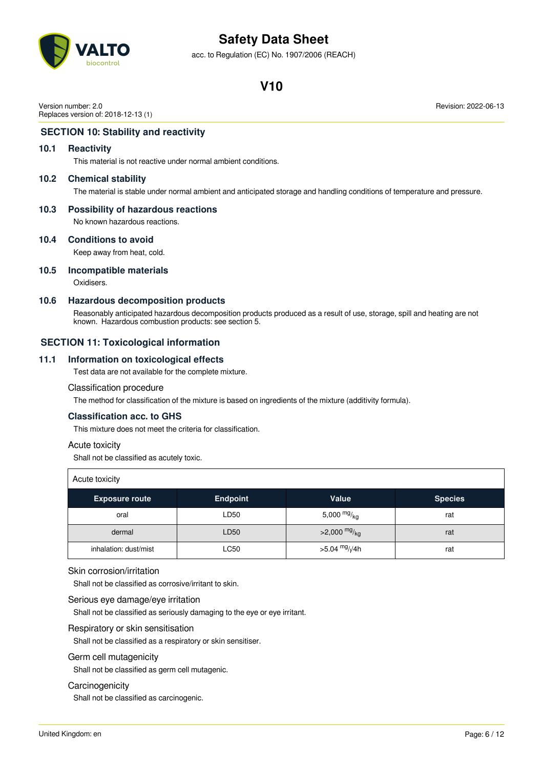

acc. to Regulation (EC) No. 1907/2006 (REACH)

### **V10**

Version number: 2.0 Replaces version of: 2018-12-13 (1)

#### **SECTION 10: Stability and reactivity**

#### **10.1 Reactivity**

This material is not reactive under normal ambient conditions.

#### **10.2 Chemical stability**

The material is stable under normal ambient and anticipated storage and handling conditions of temperature and pressure.

#### **10.3 Possibility of hazardous reactions**

No known hazardous reactions.

#### **10.4 Conditions to avoid**

Keep away from heat, cold.

#### **10.5 Incompatible materials**

Oxidisers.

#### **10.6 Hazardous decomposition products**

Reasonably anticipated hazardous decomposition products produced as a result of use, storage, spill and heating are not known. Hazardous combustion products: see section 5.

#### **SECTION 11: Toxicological information**

#### **11.1 Information on toxicological effects**

Test data are not available for the complete mixture.

#### Classification procedure

The method for classification of the mixture is based on ingredients of the mixture (additivity formula).

#### **Classification acc. to GHS**

This mixture does not meet the criteria for classification.

#### Acute toxicity

Shall not be classified as acutely toxic.

| Acute toxicity        |                 |                           |                |
|-----------------------|-----------------|---------------------------|----------------|
| <b>Exposure route</b> | <b>Endpoint</b> | Value                     | <b>Species</b> |
| oral                  | LD50            | 5,000 $mg/kg$             | rat            |
| dermal                | LD50            | >2,000 $mg/_{kg}$         | rat            |
| inhalation: dust/mist | <b>LC50</b>     | $>5.04 \frac{mg}{l}$ //4h | rat            |

#### Skin corrosion/irritation

Shall not be classified as corrosive/irritant to skin.

#### Serious eye damage/eye irritation

Shall not be classified as seriously damaging to the eye or eye irritant.

#### Respiratory or skin sensitisation

Shall not be classified as a respiratory or skin sensitiser.

#### Germ cell mutagenicity

Shall not be classified as germ cell mutagenic.

#### **Carcinogenicity**

Shall not be classified as carcinogenic.

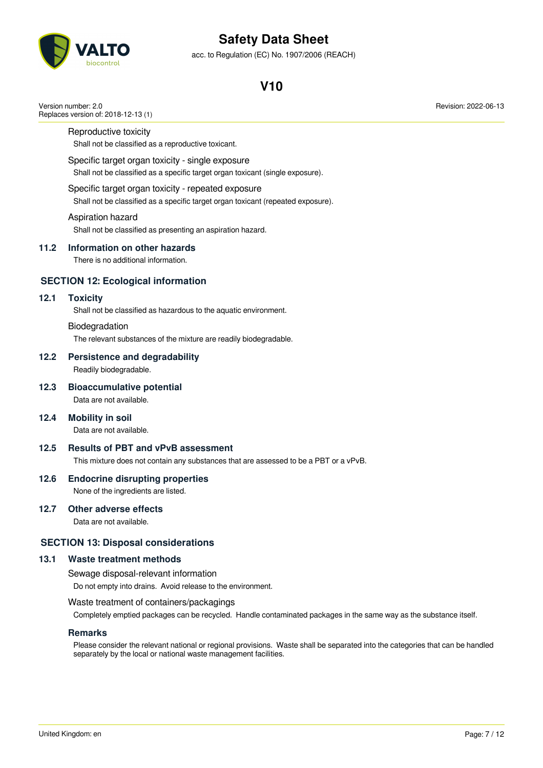

acc. to Regulation (EC) No. 1907/2006 (REACH)

### **V10**

Reproductive toxicity

Replaces version of: 2018-12-13 (1)

Version number: 2.0

Shall not be classified as a reproductive toxicant.

#### Specific target organ toxicity - single exposure

Shall not be classified as a specific target organ toxicant (single exposure).

#### Specific target organ toxicity - repeated exposure

Shall not be classified as a specific target organ toxicant (repeated exposure).

#### Aspiration hazard

Shall not be classified as presenting an aspiration hazard.

#### **11.2 Information on other hazards**

There is no additional information.

#### **SECTION 12: Ecological information**

#### **12.1 Toxicity**

Shall not be classified as hazardous to the aquatic environment.

#### Biodegradation

The relevant substances of the mixture are readily biodegradable.

#### **12.2 Persistence and degradability**

Readily biodegradable.

#### **12.3 Bioaccumulative potential**

Data are not available.

#### **12.4 Mobility in soil**

Data are not available.

#### **12.5 Results of PBT and vPvB assessment**

This mixture does not contain any substances that are assessed to be a PBT or a vPvB.

#### **12.6 Endocrine disrupting properties**

None of the ingredients are listed.

#### **12.7 Other adverse effects**

Data are not available.

#### **SECTION 13: Disposal considerations**

#### **13.1 Waste treatment methods**

Sewage disposal-relevant information

Do not empty into drains. Avoid release to the environment.

#### Waste treatment of containers/packagings

Completely emptied packages can be recycled. Handle contaminated packages in the same way as the substance itself.

#### **Remarks**

Please consider the relevant national or regional provisions. Waste shall be separated into the categories that can be handled separately by the local or national waste management facilities.

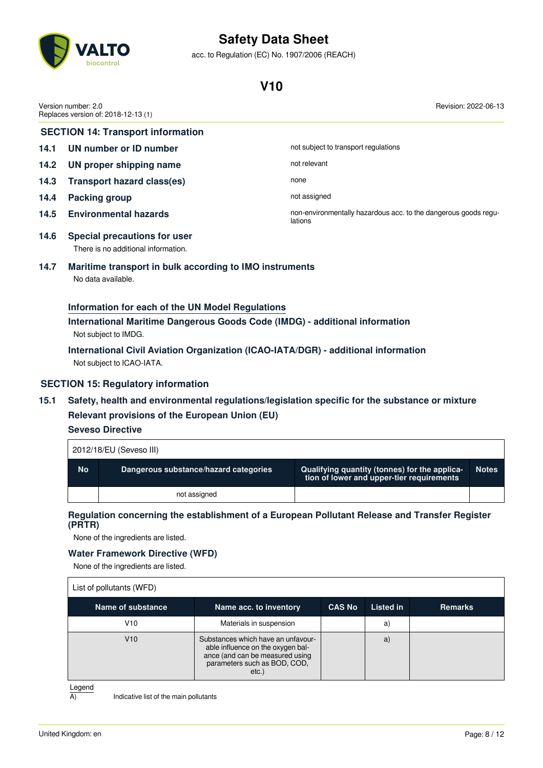

acc. to Regulation (EC) No. 1907/2006 (REACH)

### **V10**

|                                          | Version number: 2.0<br>Revision: 2022-06-13<br>Replaces version of: 2018-12-13 (1) |                                                                            |  |
|------------------------------------------|------------------------------------------------------------------------------------|----------------------------------------------------------------------------|--|
| <b>SECTION 14: Transport information</b> |                                                                                    |                                                                            |  |
| 14.1                                     | UN number or ID number                                                             | not subject to transport regulations                                       |  |
| 14.2                                     | UN proper shipping name                                                            | not relevant                                                               |  |
| 14.3                                     | <b>Transport hazard class(es)</b>                                                  | none                                                                       |  |
| 14.4                                     | <b>Packing group</b>                                                               | not assigned                                                               |  |
| 14.5                                     | <b>Environmental hazards</b>                                                       | non-environmentally hazardous acc. to the dangerous goods regu-<br>lations |  |
| 14.6                                     | Special precautions for user<br>There is no additional information.                |                                                                            |  |
| 14.7                                     | Maritime transport in bulk according to IMO instruments                            |                                                                            |  |

# No data available.

#### **Information for each of the UN Model Regulations**

**International Maritime Dangerous Goods Code (IMDG) - additional information** Not subject to IMDG.

**International Civil Aviation Organization (ICAO-IATA/DGR) - additional information** Not subject to ICAO-IATA.

#### **SECTION 15: Regulatory information**

**15.1 Safety, health and environmental regulations/legislation specific for the substance or mixture Relevant provisions of the European Union (EU)**

**Seveso Directive**

Г

| 2012/18/EU (Seveso III) |                                       |                                                                                            |              |
|-------------------------|---------------------------------------|--------------------------------------------------------------------------------------------|--------------|
| <b>No</b>               | Dangerous substance/hazard categories | Qualifying quantity (tonnes) for the applica-<br>tion of lower and upper-tier requirements | <b>Notes</b> |
|                         | not assigned                          |                                                                                            |              |

#### **Regulation concerning the establishment of a European Pollutant Release and Transfer Register (PRTR)**

None of the ingredients are listed.

#### **Water Framework Directive (WFD)**

None of the ingredients are listed.

| List of pollutants (WFD) |                                                                                                                                                     |               |           |                |
|--------------------------|-----------------------------------------------------------------------------------------------------------------------------------------------------|---------------|-----------|----------------|
| Name of substance        | Name acc. to inventory                                                                                                                              | <b>CAS No</b> | Listed in | <b>Remarks</b> |
| V10                      | Materials in suspension                                                                                                                             |               | a.        |                |
| V10                      | Substances which have an unfavour-<br>able influence on the oxygen bal-<br>ance (and can be measured using<br>parameters such as BOD, COD,<br>etc.) |               | a)        |                |

Legend

 $\overline{A}$  Indicative list of the main pollutants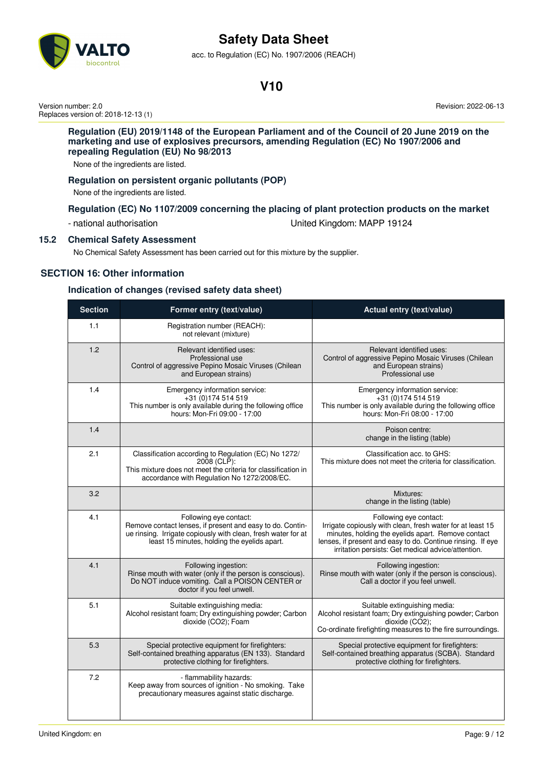

acc. to Regulation (EC) No. 1907/2006 (REACH)

### **V10**

Version number: 2.0 Replaces version of: 2018-12-13 (1) Revision: 2022-06-13

#### **Regulation (EU) 2019/1148 of the European Parliament and of the Council of 20 June 2019 on the marketing and use of explosives precursors, amending Regulation (EC) No 1907/2006 and repealing Regulation (EU) No 98/2013**

None of the ingredients are listed.

#### **Regulation on persistent organic pollutants (POP)**

None of the ingredients are listed.

#### **Regulation (EC) No 1107/2009 concerning the placing of plant protection products on the market**

- national authorisation United Kingdom: MAPP 19124

#### **15.2 Chemical Safety Assessment**

No Chemical Safety Assessment has been carried out for this mixture by the supplier.

#### **SECTION 16: Other information**

#### **Indication of changes (revised safety data sheet)**

| <b>Section</b> | Former entry (text/value)                                                                                                                                                                            | Actual entry (text/value)                                                                                                                                                                                                                                       |
|----------------|------------------------------------------------------------------------------------------------------------------------------------------------------------------------------------------------------|-----------------------------------------------------------------------------------------------------------------------------------------------------------------------------------------------------------------------------------------------------------------|
| 1.1            | Registration number (REACH):<br>not relevant (mixture)                                                                                                                                               |                                                                                                                                                                                                                                                                 |
| 1.2            | Relevant identified uses:<br>Professional use<br>Control of aggressive Pepino Mosaic Viruses (Chilean<br>and European strains)                                                                       | Relevant identified uses:<br>Control of aggressive Pepino Mosaic Viruses (Chilean<br>and European strains)<br>Professional use                                                                                                                                  |
| 1.4            | Emergency information service:<br>+31 (0) 174 514 519<br>This number is only available during the following office<br>hours: Mon-Fri 09:00 - 17:00                                                   | Emergency information service:<br>+31 (0) 174 514 519<br>This number is only available during the following office<br>hours: Mon-Fri 08:00 - 17:00                                                                                                              |
| 1.4            |                                                                                                                                                                                                      | Poison centre:<br>change in the listing (table)                                                                                                                                                                                                                 |
| 2.1            | Classification according to Regulation (EC) No 1272/<br>2008 (CLP):<br>This mixture does not meet the criteria for classification in<br>accordance with Regulation No 1272/2008/EC.                  | Classification acc. to GHS:<br>This mixture does not meet the criteria for classification.                                                                                                                                                                      |
| 3.2            |                                                                                                                                                                                                      | Mixtures:<br>change in the listing (table)                                                                                                                                                                                                                      |
| 4.1            | Following eye contact:<br>Remove contact lenses, if present and easy to do. Contin-<br>ue rinsing. Irrigate copiously with clean, fresh water for at<br>least 15 minutes, holding the eyelids apart. | Following eye contact:<br>Irrigate copiously with clean, fresh water for at least 15<br>minutes, holding the eyelids apart. Remove contact<br>lenses, if present and easy to do. Continue rinsing. If eye<br>irritation persists: Get medical advice/attention. |
| 4.1            | Following ingestion:<br>Rinse mouth with water (only if the person is conscious).<br>Do NOT induce vomiting. Call a POISON CENTER or<br>doctor if you feel unwell.                                   | Following ingestion:<br>Rinse mouth with water (only if the person is conscious).<br>Call a doctor if you feel unwell.                                                                                                                                          |
| 5.1            | Suitable extinguishing media:<br>Alcohol resistant foam; Dry extinguishing powder; Carbon<br>dioxide (CO2); Foam                                                                                     | Suitable extinguishing media:<br>Alcohol resistant foam; Dry extinguishing powder; Carbon<br>dioxide (CO2);<br>Co-ordinate firefighting measures to the fire surroundings.                                                                                      |
| 5.3            | Special protective equipment for firefighters:<br>Self-contained breathing apparatus (EN 133). Standard<br>protective clothing for firefighters.                                                     | Special protective equipment for firefighters:<br>Self-contained breathing apparatus (SCBA). Standard<br>protective clothing for firefighters.                                                                                                                  |
| 7.2            | - flammability hazards:<br>Keep away from sources of ignition - No smoking. Take<br>precautionary measures against static discharge.                                                                 |                                                                                                                                                                                                                                                                 |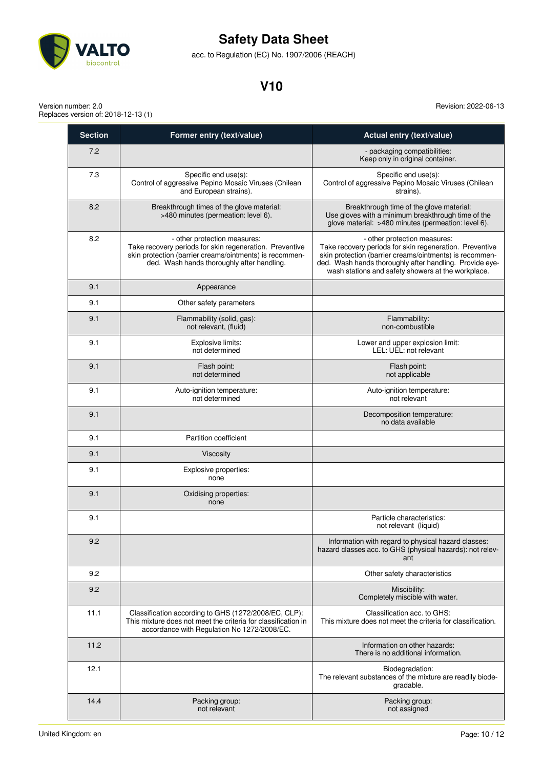

acc. to Regulation (EC) No. 1907/2006 (REACH)

### **V10**

Version number: 2.0 Replaces version of: 2018-12-13 (1)

| <b>Section</b> | Former entry (text/value)                                                                                                                                                                        | Actual entry (text/value)                                                                                                                                                                                                                                           |
|----------------|--------------------------------------------------------------------------------------------------------------------------------------------------------------------------------------------------|---------------------------------------------------------------------------------------------------------------------------------------------------------------------------------------------------------------------------------------------------------------------|
| 7.2            |                                                                                                                                                                                                  | - packaging compatibilities:<br>Keep only in original container.                                                                                                                                                                                                    |
| 7.3            | Specific end use(s):<br>Control of aggressive Pepino Mosaic Viruses (Chilean<br>and European strains).                                                                                           | Specific end use(s):<br>Control of aggressive Pepino Mosaic Viruses (Chilean<br>strains).                                                                                                                                                                           |
| 8.2            | Breakthrough times of the glove material:<br>>480 minutes (permeation: level 6).                                                                                                                 | Breakthrough time of the glove material:<br>Use gloves with a minimum breakthrough time of the<br>glove material: >480 minutes (permeation: level 6).                                                                                                               |
| 8.2            | - other protection measures:<br>Take recovery periods for skin regeneration. Preventive<br>skin protection (barrier creams/ointments) is recommen-<br>ded. Wash hands thoroughly after handling. | - other protection measures:<br>Take recovery periods for skin regeneration. Preventive<br>skin protection (barrier creams/ointments) is recommen-<br>ded. Wash hands thoroughly after handling. Provide eye-<br>wash stations and safety showers at the workplace. |
| 9.1            | Appearance                                                                                                                                                                                       |                                                                                                                                                                                                                                                                     |
| 9.1            | Other safety parameters                                                                                                                                                                          |                                                                                                                                                                                                                                                                     |
| 9.1            | Flammability (solid, gas):<br>not relevant, (fluid)                                                                                                                                              | Flammability:<br>non-combustible                                                                                                                                                                                                                                    |
| 9.1            | Explosive limits:<br>not determined                                                                                                                                                              | Lower and upper explosion limit:<br>LEL: UEL: not relevant                                                                                                                                                                                                          |
| 9.1            | Flash point:<br>not determined                                                                                                                                                                   | Flash point:<br>not applicable                                                                                                                                                                                                                                      |
| 9.1            | Auto-ignition temperature:<br>not determined                                                                                                                                                     | Auto-ignition temperature:<br>not relevant                                                                                                                                                                                                                          |
| 9.1            |                                                                                                                                                                                                  | Decomposition temperature:<br>no data available                                                                                                                                                                                                                     |
| 9.1            | Partition coefficient                                                                                                                                                                            |                                                                                                                                                                                                                                                                     |
| 9.1            | Viscosity                                                                                                                                                                                        |                                                                                                                                                                                                                                                                     |
| 9.1            | Explosive properties:<br>none                                                                                                                                                                    |                                                                                                                                                                                                                                                                     |
| 9.1            | Oxidising properties:<br>none                                                                                                                                                                    |                                                                                                                                                                                                                                                                     |
| 9.1            |                                                                                                                                                                                                  | Particle characteristics:<br>not relevant (liquid)                                                                                                                                                                                                                  |
| 9.2            |                                                                                                                                                                                                  | Information with regard to physical hazard classes:<br>hazard classes acc. to GHS (physical hazards): not relev-<br>ant                                                                                                                                             |
| 9.2            |                                                                                                                                                                                                  | Other safety characteristics                                                                                                                                                                                                                                        |
| 9.2            |                                                                                                                                                                                                  | Miscibility:<br>Completely miscible with water.                                                                                                                                                                                                                     |
| 11.1           | Classification according to GHS (1272/2008/EC, CLP):<br>This mixture does not meet the criteria for classification in<br>accordance with Regulation No 1272/2008/EC.                             | Classification acc. to GHS:<br>This mixture does not meet the criteria for classification.                                                                                                                                                                          |
| 11.2           |                                                                                                                                                                                                  | Information on other hazards:<br>There is no additional information.                                                                                                                                                                                                |
| 12.1           |                                                                                                                                                                                                  | Biodegradation:<br>The relevant substances of the mixture are readily biode-<br>gradable.                                                                                                                                                                           |
| 14.4           | Packing group:<br>not relevant                                                                                                                                                                   | Packing group:<br>not assigned                                                                                                                                                                                                                                      |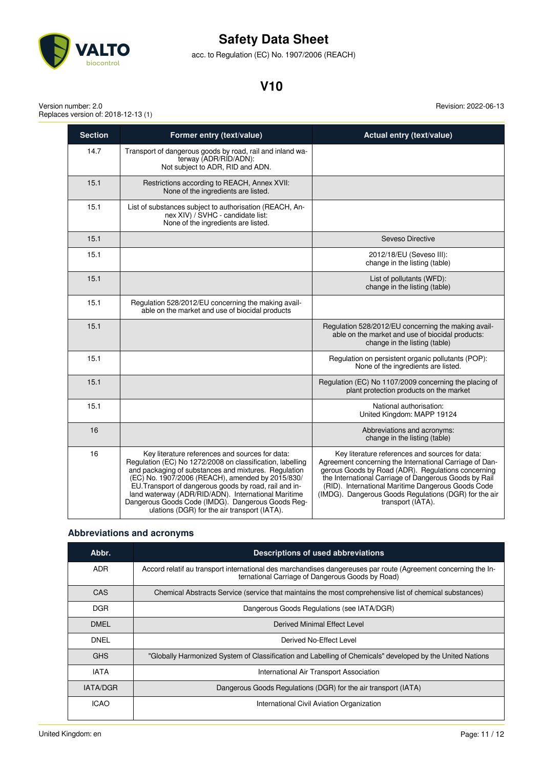

acc. to Regulation (EC) No. 1907/2006 (REACH)

### **V10**

Version number: 2.0 Replaces version of: 2018-12-13 (1) Revision: 2022-06-13

| <b>Section</b> | Former entry (text/value)                                                                                                                                                                                                                                                                                                                                                                                                                      | Actual entry (text/value)                                                                                                                                                                                                                                                                                                                                     |
|----------------|------------------------------------------------------------------------------------------------------------------------------------------------------------------------------------------------------------------------------------------------------------------------------------------------------------------------------------------------------------------------------------------------------------------------------------------------|---------------------------------------------------------------------------------------------------------------------------------------------------------------------------------------------------------------------------------------------------------------------------------------------------------------------------------------------------------------|
| 14.7           | Transport of dangerous goods by road, rail and inland wa-<br>terway (ADR/RID/ADN):<br>Not subject to ADR, RID and ADN.                                                                                                                                                                                                                                                                                                                         |                                                                                                                                                                                                                                                                                                                                                               |
| 15.1           | Restrictions according to REACH, Annex XVII:<br>None of the ingredients are listed.                                                                                                                                                                                                                                                                                                                                                            |                                                                                                                                                                                                                                                                                                                                                               |
| 15.1           | List of substances subject to authorisation (REACH, An-<br>nex XIV) / SVHC - candidate list:<br>None of the ingredients are listed.                                                                                                                                                                                                                                                                                                            |                                                                                                                                                                                                                                                                                                                                                               |
| 15.1           |                                                                                                                                                                                                                                                                                                                                                                                                                                                | Seveso Directive                                                                                                                                                                                                                                                                                                                                              |
| 15.1           |                                                                                                                                                                                                                                                                                                                                                                                                                                                | 2012/18/EU (Seveso III):<br>change in the listing (table)                                                                                                                                                                                                                                                                                                     |
| 15.1           |                                                                                                                                                                                                                                                                                                                                                                                                                                                | List of pollutants (WFD):<br>change in the listing (table)                                                                                                                                                                                                                                                                                                    |
| 15.1           | Regulation 528/2012/EU concerning the making avail-<br>able on the market and use of biocidal products                                                                                                                                                                                                                                                                                                                                         |                                                                                                                                                                                                                                                                                                                                                               |
| 15.1           |                                                                                                                                                                                                                                                                                                                                                                                                                                                | Regulation 528/2012/EU concerning the making avail-<br>able on the market and use of biocidal products:<br>change in the listing (table)                                                                                                                                                                                                                      |
| 15.1           |                                                                                                                                                                                                                                                                                                                                                                                                                                                | Regulation on persistent organic pollutants (POP):<br>None of the ingredients are listed.                                                                                                                                                                                                                                                                     |
| 15.1           |                                                                                                                                                                                                                                                                                                                                                                                                                                                | Regulation (EC) No 1107/2009 concerning the placing of<br>plant protection products on the market                                                                                                                                                                                                                                                             |
| 15.1           |                                                                                                                                                                                                                                                                                                                                                                                                                                                | National authorisation:<br>United Kingdom: MAPP 19124                                                                                                                                                                                                                                                                                                         |
| 16             |                                                                                                                                                                                                                                                                                                                                                                                                                                                | Abbreviations and acronyms:<br>change in the listing (table)                                                                                                                                                                                                                                                                                                  |
| 16             | Key literature references and sources for data:<br>Regulation (EC) No 1272/2008 on classification, labelling<br>and packaging of substances and mixtures. Regulation<br>(EC) No. 1907/2006 (REACH), amended by 2015/830/<br>EU. Transport of dangerous goods by road, rail and in-<br>land waterway (ADR/RID/ADN). International Maritime<br>Dangerous Goods Code (IMDG). Dangerous Goods Reg-<br>ulations (DGR) for the air transport (IATA). | Key literature references and sources for data:<br>Agreement concerning the International Carriage of Dan-<br>gerous Goods by Road (ADR). Regulations concerning<br>the International Carriage of Dangerous Goods by Rail<br>(RID). International Maritime Dangerous Goods Code<br>(IMDG). Dangerous Goods Regulations (DGR) for the air<br>transport (IATA). |

### **Abbreviations and acronyms**

| Abbr.                                                                             | Descriptions of used abbreviations                                                                                                                                 |  |
|-----------------------------------------------------------------------------------|--------------------------------------------------------------------------------------------------------------------------------------------------------------------|--|
| ADR.                                                                              | Accord relatif au transport international des marchandises dangereuses par route (Agreement concerning the In-<br>ternational Carriage of Dangerous Goods by Road) |  |
| <b>CAS</b>                                                                        | Chemical Abstracts Service (service that maintains the most comprehensive list of chemical substances)                                                             |  |
| DGR.                                                                              | Dangerous Goods Regulations (see IATA/DGR)                                                                                                                         |  |
| <b>DMEL</b>                                                                       | Derived Minimal Effect Level                                                                                                                                       |  |
| <b>DNEL</b>                                                                       | Derived No-Effect Level                                                                                                                                            |  |
| <b>GHS</b>                                                                        | "Globally Harmonized System of Classification and Labelling of Chemicals" developed by the United Nations                                                          |  |
| <b>IATA</b>                                                                       | International Air Transport Association                                                                                                                            |  |
| <b>IATA/DGR</b><br>Dangerous Goods Regulations (DGR) for the air transport (IATA) |                                                                                                                                                                    |  |
| <b>ICAO</b>                                                                       | International Civil Aviation Organization                                                                                                                          |  |